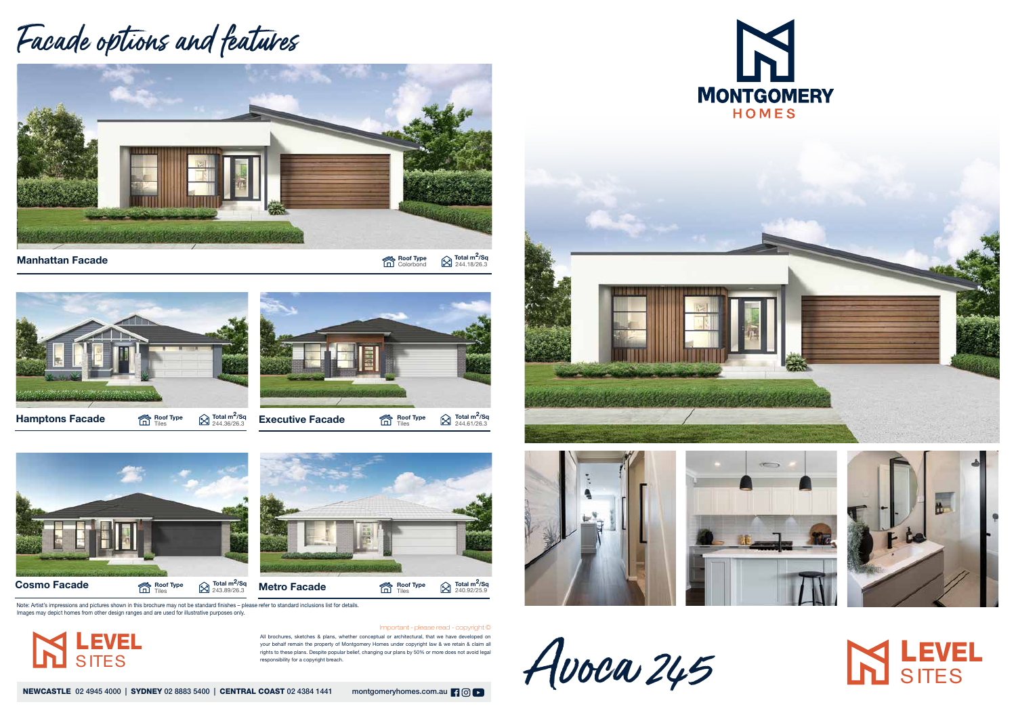





All brochures, sketches & plans, whether conceptual or architectural, that we have developed on your behalf remain the property of Montgomery Homes under copyright law & we retain & claim all rights to these plans. Despite popular belief, changing our plans by 50% or more does not avoid legal responsibility for a copyright breach.



## Facade options and features











Manhattan Facade

**Roof Type**  $\bigotimes_{244.18/26.3}^{ }$  **Total m<sup>2</sup>/Sq** 

Note: Artist's impressions and pictures shown in this brochure may not be standard finishes – please refer to standard inclusions list for details. Images may depict homes from other design ranges and are used for illustrative purposes only.







## **IN LEVEL**

LEVEL

**SITES**